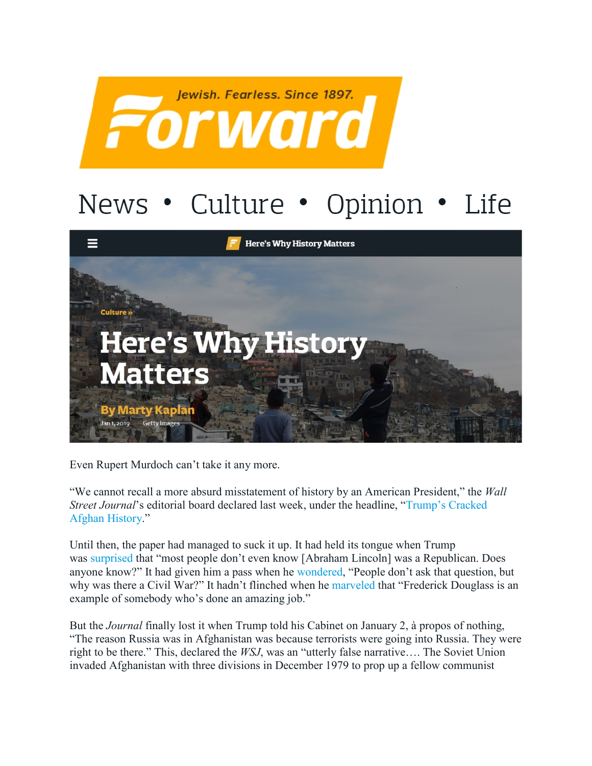

## Life News • Culture • Opinion •



Even Rupert Murdoch can't take it any more.

"We cannot recall a more absurd misstatement of history by an American President," the *Wall Street Journal*'s editorial board declared last week, under the headline, ["Trump's Cracked](https://www.wsj.com/articles/trumps-cracked-afghan-history-11546560234)  [Afghan History.](https://www.wsj.com/articles/trumps-cracked-afghan-history-11546560234)"

Until then, the paper had managed to suck it up. It had held its tongue when Trump was [surprised](http://manythingsconsidered.com/the-price-of-historical-ignorance/) that "most people don't even know [Abraham Lincoln] was a Republican. Does anyone know?" It had given him a pass when he [wondered,](http://manythingsconsidered.com/the-price-of-historical-ignorance/) "People don't ask that question, but why was there a Civil War?" It hadn't flinched when he [marveled](https://www.washingtonpost.com/news/post-nation/wp/2017/02/02/trump-implied-frederick-douglass-was-alive-the-abolitionists-family-offered-a-history-lesson/?utm_term=.b8863b3c1edf) that "Frederick Douglass is an example of somebody who's done an amazing job."

But the *Journal* finally lost it when Trump told his Cabinet on January 2, à propos of nothing, "The reason Russia was in Afghanistan was because terrorists were going into Russia. They were right to be there." This, declared the *WSJ*, was an "utterly false narrative…. The Soviet Union invaded Afghanistan with three divisions in December 1979 to prop up a fellow communist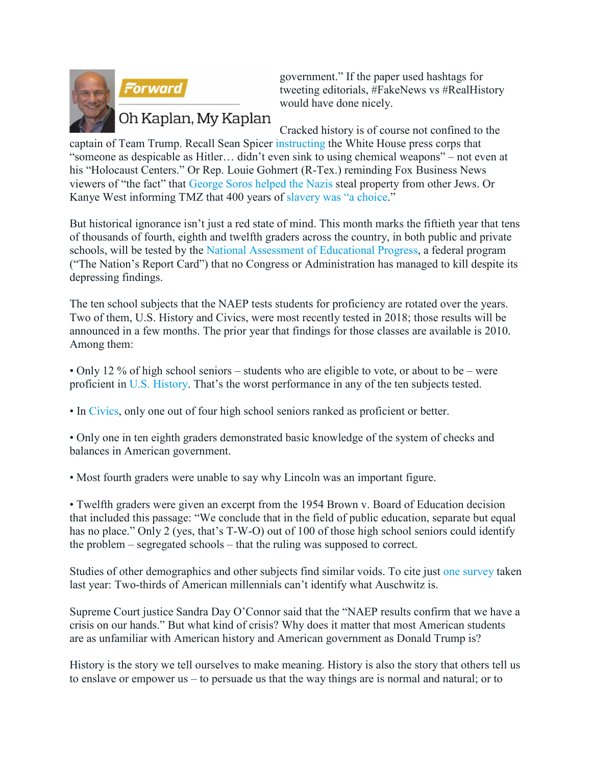



government." If the paper used hashtags for tweeting editorials, #FakeNews vs #RealHistory would have done nicely.

## Oh Kaplan, My Kaplan

Cracked history is of course not confined to the captain of Team Trump. Recall Sean Spicer [instructing](https://forward.com/news/368830/sean-spicer-faces-resignation-calls-for-claiming-hitler-was-better-than-ass/) the White House press corps that "someone as despicable as Hitler… didn't even sink to using chemical weapons" – not even at his "Holocaust Centers." Or Rep. Louie Gohmert (R-Tex.) reminding Fox Business News viewers of "the fact" that [George Soros helped the Nazis](https://www.washingtonpost.com/politics/rep-louie-gohmert-falsely-says-george-soros-helped-take-property-from-fellow-jews/2018/12/06/05beded2-f979-11e8-863c-9e2f864d47e7_story.html?utm_term=.6c1a90ccb606) steal property from other Jews. Or Kanye West informing TMZ that 400 years of [slavery was "a choice.](https://www.theatlantic.com/entertainment/archive/2018/05/im-not-black-im-kanye/559763/)"

But historical ignorance isn't just a red state of mind. This month marks the fiftieth year that tens of thousands of fourth, eighth and twelfth graders across the country, in both public and private schools, will be tested by the [National Assessment of Educational Progress,](https://nces.ed.gov/nationsreportcard/) a federal program ("The Nation's Report Card") that no Congress or Administration has managed to kill despite its depressing findings.

The ten school subjects that the NAEP tests students for proficiency are rotated over the years. Two of them, U.S. History and Civics, were most recently tested in 2018; those results will be announced in a few months. The prior year that findings for those classes are available is 2010. Among them:

• Only 12 % of high school seniors – students who are eligible to vote, or about to be – were proficient in [U.S. History.](https://www.nytimes.com/2011/06/15/education/15history.html) That's the worst performance in any of the ten subjects tested.

• In [Civics,](https://www.nytimes.com/2011/05/05/education/05civics.html) only one out of four high school seniors ranked as proficient or better.

• Only one in ten eighth graders demonstrated basic knowledge of the system of checks and balances in American government.

• Most fourth graders were unable to say why Lincoln was an important figure.

• Twelfth graders were given an excerpt from the 1954 Brown v. Board of Education decision that included this passage: "We conclude that in the field of public education, separate but equal has no place." Only 2 (yes, that's T-W-O) out of 100 of those high school seniors could identify the problem – segregated schools – that the ruling was supposed to correct.

Studies of other demographics and other subjects find similar voids. To cite just [one survey](https://www.washingtonpost.com/news/acts-of-faith/wp/2018/04/12/two-thirds-of-millennials-dont-know-what-auschwitz-is-according-to-study-of-fading-holocaust-knowledge/?utm_term=.9cefea3d1458) taken last year: Two-thirds of American millennials can't identify what Auschwitz is.

Supreme Court justice Sandra Day O'Connor said that the "NAEP results confirm that we have a crisis on our hands." But what kind of crisis? Why does it matter that most American students are as unfamiliar with American history and American government as Donald Trump is?

History is the story we tell ourselves to make meaning. History is also the story that others tell us to enslave or empower us – to persuade us that the way things are is normal and natural; or to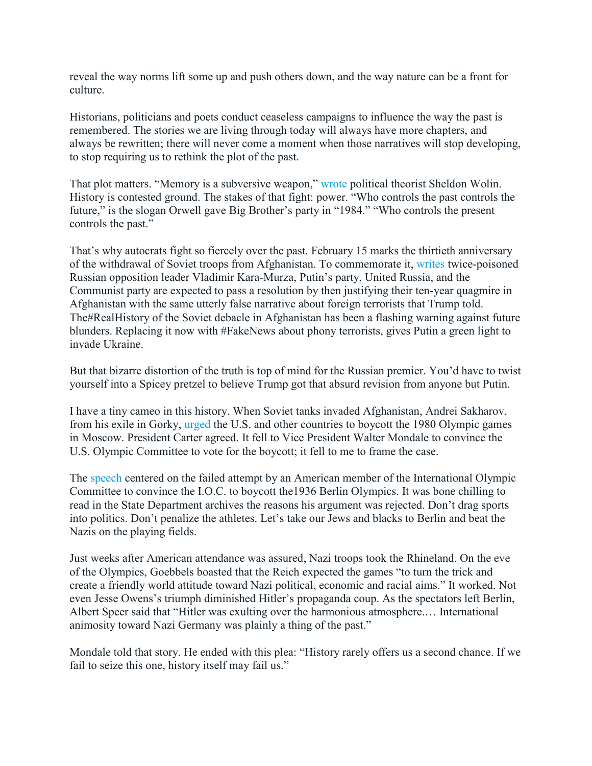reveal the way norms lift some up and push others down, and the way nature can be a front for culture.

Historians, politicians and poets conduct ceaseless campaigns to influence the way the past is remembered. The stories we are living through today will always have more chapters, and always be rewritten; there will never come a moment when those narratives will stop developing, to stop requiring us to rethink the plot of the past.

That plot matters. "Memory is a subversive weapon," [wrote](https://democracyjournalarchive.files.wordpress.com/2015/06/wolin_editorial-democracy-1-1_-jan-1981.pdf) political theorist Sheldon Wolin. History is contested ground. The stakes of that fight: power. "Who controls the past controls the future," is the slogan Orwell gave Big Brother's party in "1984." "Who controls the present controls the past."

That's why autocrats fight so fiercely over the past. February 15 marks the thirtieth anniversary of the withdrawal of Soviet troops from Afghanistan. To commemorate it, [writes](https://www.washingtonpost.com/opinions/2018/12/04/defying-history-moscow-moves-defend-soviet-war-afghanistan/?utm_term=.7380b4bedb35) twice-poisoned Russian opposition leader Vladimir Kara-Murza, Putin's party, United Russia, and the Communist party are expected to pass a resolution by then justifying their ten-year quagmire in Afghanistan with the same utterly false narrative about foreign terrorists that Trump told. The#RealHistory of the Soviet debacle in Afghanistan has been a flashing warning against future blunders. Replacing it now with #FakeNews about phony terrorists, gives Putin a green light to invade Ukraine.

But that bizarre distortion of the truth is top of mind for the Russian premier. You'd have to twist yourself into a Spicey pretzel to believe Trump got that absurd revision from anyone but Putin.

I have a tiny cameo in this history. When Soviet tanks invaded Afghanistan, Andrei Sakharov, from his exile in Gorky, [urged](https://www.washingtonpost.com/archive/opinions/1980/03/09/sakharov-speaks-out-from-exile/8c9b06e9-1190-47e9-86a6-b5322fa89257/) the U.S. and other countries to boycott the 1980 Olympic games in Moscow. President Carter agreed. It fell to Vice President Walter Mondale to convince the U.S. Olympic Committee to vote for the boycott; it fell to me to frame the case.

The [speech](https://history.state.gov/historicaldocuments/frus1977-80v01/d143) centered on the failed attempt by an American member of the International Olympic Committee to convince the I.O.C. to boycott the1936 Berlin Olympics. It was bone chilling to read in the State Department archives the reasons his argument was rejected. Don't drag sports into politics. Don't penalize the athletes. Let's take our Jews and blacks to Berlin and beat the Nazis on the playing fields.

Just weeks after American attendance was assured, Nazi troops took the Rhineland. On the eve of the Olympics, Goebbels boasted that the Reich expected the games "to turn the trick and create a friendly world attitude toward Nazi political, economic and racial aims." It worked. Not even Jesse Owens's triumph diminished Hitler's propaganda coup. As the spectators left Berlin, Albert Speer said that "Hitler was exulting over the harmonious atmosphere.… International animosity toward Nazi Germany was plainly a thing of the past."

Mondale told that story. He ended with this plea: "History rarely offers us a second chance. If we fail to seize this one, history itself may fail us."